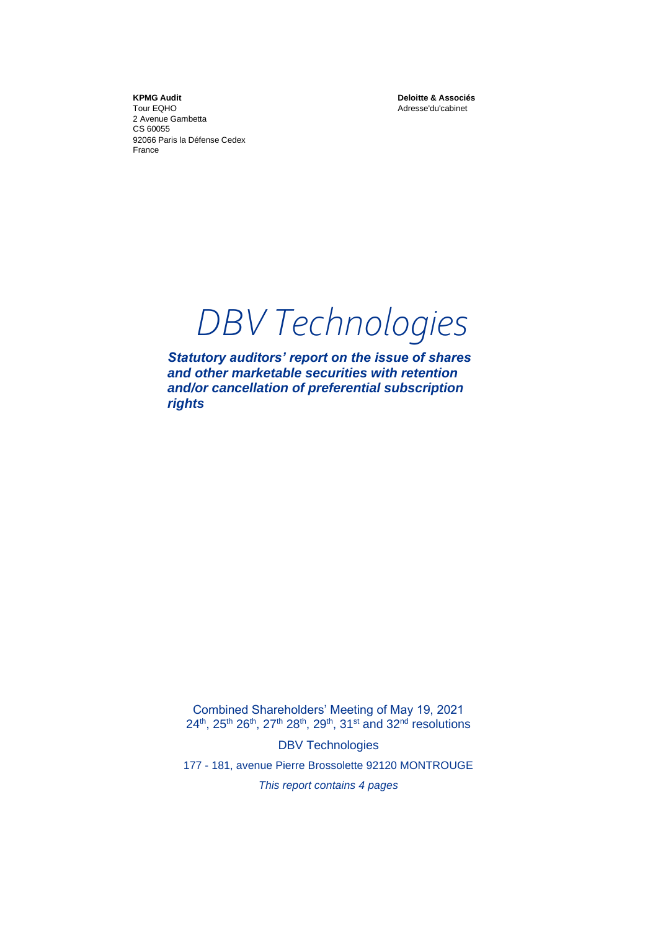**KPMG Audit** Tour EQHO 2 Avenue Gambetta CS 60055 92066 Paris la Défense Cedex France

**Deloitte & Associés** Adresse'du'cabinet

*DBV Technologies*

*Statutory auditors' report on the issue of shares and other marketable securities with retention and/or cancellation of preferential subscription rights* 

Combined Shareholders' Meeting of May 19, 2021 24<sup>th</sup>, 25<sup>th</sup> 26<sup>th</sup>, 27<sup>th</sup> 28<sup>th</sup>, 29<sup>th</sup>, 31<sup>st</sup> and 32<sup>nd</sup> resolutions

DBV Technologies

177 - 181, avenue Pierre Brossolette 92120 MONTROUGE

*This report contains 4 pages*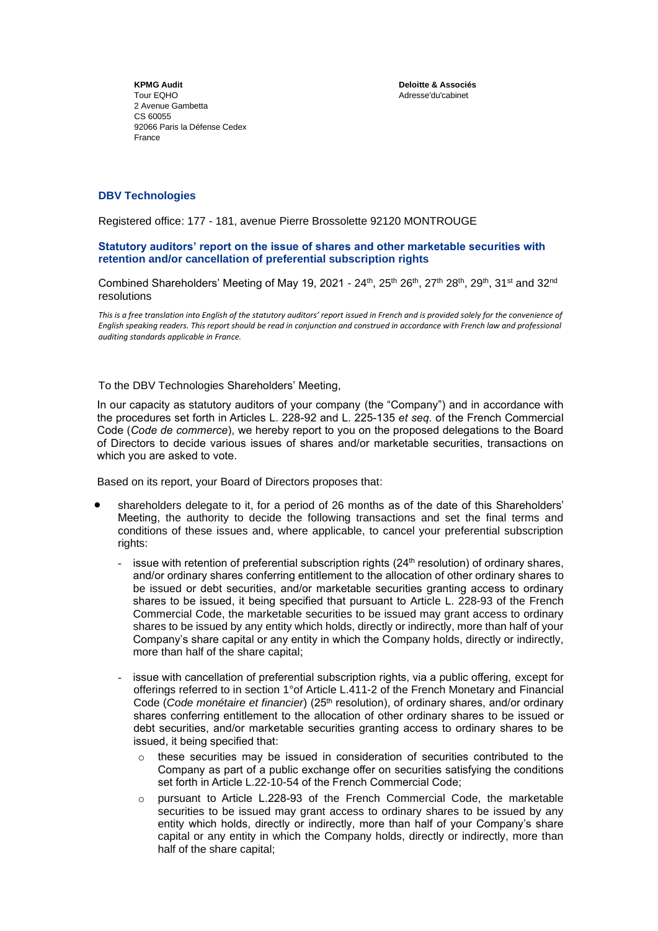**Deloitte & Associés** Adresse'du'cabinet

**KPMG Audit** Tour EQHO 2 Avenue Gambetta CS 60055 92066 Paris la Défense Cedex France

## **DBV Technologies**

Registered office: 177 - 181, avenue Pierre Brossolette 92120 MONTROUGE

### **Statutory auditors' report on the issue of shares and other marketable securities with retention and/or cancellation of preferential subscription rights**

Combined Shareholders' Meeting of May 19, 2021 - 24th, 25th 26th, 27th 28th, 29th, 31st and 32nd resolutions

*This is a free translation into English of the statutory auditors' report issued in French and is provided solely for the convenience of English speaking readers. This report should be read in conjunction and construed in accordance with French law and professional auditing standards applicable in France.*

### To the DBV Technologies Shareholders' Meeting,

In our capacity as statutory auditors of your company (the "Company") and in accordance with the procedures set forth in Articles L. 228-92 and L. 225-135 *et seq.* of the French Commercial Code (*Code de commerce*), we hereby report to you on the proposed delegations to the Board of Directors to decide various issues of shares and/or marketable securities, transactions on which you are asked to vote.

Based on its report, your Board of Directors proposes that:

- shareholders delegate to it, for a period of 26 months as of the date of this Shareholders' Meeting, the authority to decide the following transactions and set the final terms and conditions of these issues and, where applicable, to cancel your preferential subscription rights:
	- issue with retention of preferential subscription rights  $(24<sup>th</sup>$  resolution) of ordinary shares, and/or ordinary shares conferring entitlement to the allocation of other ordinary shares to be issued or debt securities, and/or marketable securities granting access to ordinary shares to be issued, it being specified that pursuant to Article L. 228-93 of the French Commercial Code, the marketable securities to be issued may grant access to ordinary shares to be issued by any entity which holds, directly or indirectly, more than half of your Company's share capital or any entity in which the Company holds, directly or indirectly, more than half of the share capital;
	- issue with cancellation of preferential subscription rights, via a public offering, except for offerings referred to in section 1°of Article L.411-2 of the French Monetary and Financial Code (*Code monétaire et financier*) (25th resolution), of ordinary shares, and/or ordinary shares conferring entitlement to the allocation of other ordinary shares to be issued or debt securities, and/or marketable securities granting access to ordinary shares to be issued, it being specified that:
		- $\circ$  these securities may be issued in consideration of securities contributed to the Company as part of a public exchange offer on securities satisfying the conditions set forth in Article L.22-10-54 of the French Commercial Code;
		- $\circ$  pursuant to Article L.228-93 of the French Commercial Code, the marketable securities to be issued may grant access to ordinary shares to be issued by any entity which holds, directly or indirectly, more than half of your Company's share capital or any entity in which the Company holds, directly or indirectly, more than half of the share capital;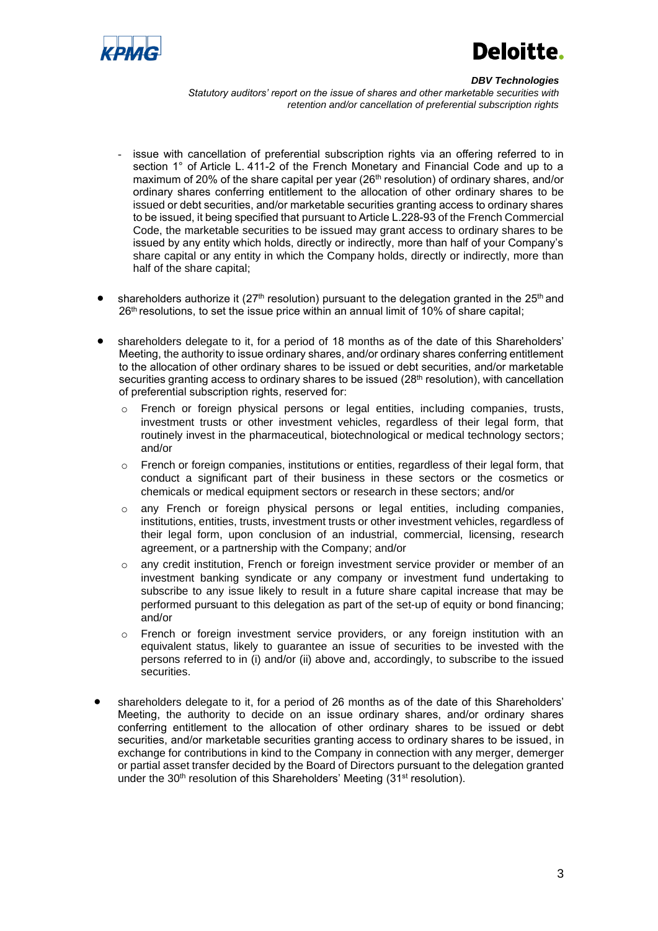

# Deloitte.

#### *DBV Technologies*

*Statutory auditors' report on the issue of shares and other marketable securities with retention and/or cancellation of preferential subscription rights*

- issue with cancellation of preferential subscription rights via an offering referred to in section 1° of Article L. 411-2 of the French Monetary and Financial Code and up to a maximum of 20% of the share capital per year ( $26<sup>th</sup>$  resolution) of ordinary shares, and/or ordinary shares conferring entitlement to the allocation of other ordinary shares to be issued or debt securities, and/or marketable securities granting access to ordinary shares to be issued, it being specified that pursuant to Article L.228-93 of the French Commercial Code, the marketable securities to be issued may grant access to ordinary shares to be issued by any entity which holds, directly or indirectly, more than half of your Company's share capital or any entity in which the Company holds, directly or indirectly, more than half of the share capital;
- shareholders authorize it ( $27<sup>th</sup>$  resolution) pursuant to the delegation granted in the  $25<sup>th</sup>$  and 26<sup>th</sup> resolutions, to set the issue price within an annual limit of 10% of share capital;
- shareholders delegate to it, for a period of 18 months as of the date of this Shareholders' Meeting, the authority to issue ordinary shares, and/or ordinary shares conferring entitlement to the allocation of other ordinary shares to be issued or debt securities, and/or marketable securities granting access to ordinary shares to be issued (28<sup>th</sup> resolution), with cancellation of preferential subscription rights, reserved for:
	- French or foreign physical persons or legal entities, including companies, trusts, investment trusts or other investment vehicles, regardless of their legal form, that routinely invest in the pharmaceutical, biotechnological or medical technology sectors; and/or
	- o French or foreign companies, institutions or entities, regardless of their legal form, that conduct a significant part of their business in these sectors or the cosmetics or chemicals or medical equipment sectors or research in these sectors; and/or
	- o any French or foreign physical persons or legal entities, including companies, institutions, entities, trusts, investment trusts or other investment vehicles, regardless of their legal form, upon conclusion of an industrial, commercial, licensing, research agreement, or a partnership with the Company; and/or
	- o any credit institution, French or foreign investment service provider or member of an investment banking syndicate or any company or investment fund undertaking to subscribe to any issue likely to result in a future share capital increase that may be performed pursuant to this delegation as part of the set-up of equity or bond financing; and/or
	- $\circ$  French or foreign investment service providers, or any foreign institution with an equivalent status, likely to guarantee an issue of securities to be invested with the persons referred to in (i) and/or (ii) above and, accordingly, to subscribe to the issued securities.
- shareholders delegate to it, for a period of 26 months as of the date of this Shareholders' Meeting, the authority to decide on an issue ordinary shares, and/or ordinary shares conferring entitlement to the allocation of other ordinary shares to be issued or debt securities, and/or marketable securities granting access to ordinary shares to be issued, in exchange for contributions in kind to the Company in connection with any merger, demerger or partial asset transfer decided by the Board of Directors pursuant to the delegation granted under the 30<sup>th</sup> resolution of this Shareholders' Meeting (31<sup>st</sup> resolution).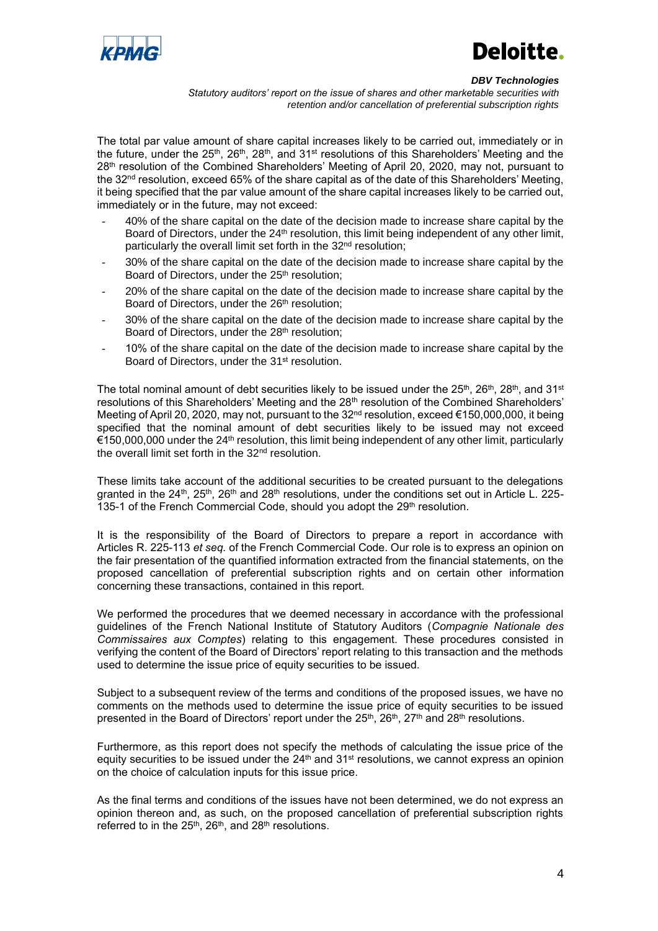

# Deloitte.

#### *DBV Technologies*

*Statutory auditors' report on the issue of shares and other marketable securities with retention and/or cancellation of preferential subscription rights*

The total par value amount of share capital increases likely to be carried out, immediately or in the future, under the  $25<sup>th</sup>$ ,  $28<sup>th</sup>$ ,  $28<sup>th</sup>$ , and  $31<sup>st</sup>$  resolutions of this Shareholders' Meeting and the 28<sup>th</sup> resolution of the Combined Shareholders' Meeting of April 20, 2020, may not, pursuant to the 32<sup>nd</sup> resolution, exceed 65% of the share capital as of the date of this Shareholders' Meeting, it being specified that the par value amount of the share capital increases likely to be carried out, immediately or in the future, may not exceed:

- 40% of the share capital on the date of the decision made to increase share capital by the Board of Directors, under the 24<sup>th</sup> resolution, this limit being independent of any other limit, particularly the overall limit set forth in the 32<sup>nd</sup> resolution;
- 30% of the share capital on the date of the decision made to increase share capital by the Board of Directors, under the 25<sup>th</sup> resolution;
- 20% of the share capital on the date of the decision made to increase share capital by the Board of Directors, under the 26<sup>th</sup> resolution;
- 30% of the share capital on the date of the decision made to increase share capital by the Board of Directors, under the 28<sup>th</sup> resolution;
- 10% of the share capital on the date of the decision made to increase share capital by the Board of Directors, under the 31st resolution.

The total nominal amount of debt securities likely to be issued under the  $25<sup>th</sup>$ ,  $26<sup>th</sup>$ ,  $28<sup>th</sup>$ , and  $31<sup>st</sup>$ resolutions of this Shareholders' Meeting and the 28<sup>th</sup> resolution of the Combined Shareholders' Meeting of April 20, 2020, may not, pursuant to the 32nd resolution, exceed €150,000,000, it being specified that the nominal amount of debt securities likely to be issued may not exceed  $€150,000,000$  under the 24<sup>th</sup> resolution, this limit being independent of any other limit, particularly the overall limit set forth in the 32<sup>nd</sup> resolution.

These limits take account of the additional securities to be created pursuant to the delegations granted in the 24<sup>th</sup>, 25<sup>th</sup>, 26<sup>th</sup> and 28<sup>th</sup> resolutions, under the conditions set out in Article L. 225-135-1 of the French Commercial Code, should you adopt the 29<sup>th</sup> resolution.

It is the responsibility of the Board of Directors to prepare a report in accordance with Articles R. 225-113 *et seq.* of the French Commercial Code. Our role is to express an opinion on the fair presentation of the quantified information extracted from the financial statements, on the proposed cancellation of preferential subscription rights and on certain other information concerning these transactions, contained in this report.

We performed the procedures that we deemed necessary in accordance with the professional guidelines of the French National Institute of Statutory Auditors (*Compagnie Nationale des Commissaires aux Comptes*) relating to this engagement. These procedures consisted in verifying the content of the Board of Directors' report relating to this transaction and the methods used to determine the issue price of equity securities to be issued.

Subject to a subsequent review of the terms and conditions of the proposed issues, we have no comments on the methods used to determine the issue price of equity securities to be issued presented in the Board of Directors' report under the  $25^{\text{th}},$   $26^{\text{th}},$   $27^{\text{th}}$  and  $28^{\text{th}}$  resolutions.

Furthermore, as this report does not specify the methods of calculating the issue price of the equity securities to be issued under the  $24<sup>th</sup>$  and  $31<sup>st</sup>$  resolutions, we cannot express an opinion on the choice of calculation inputs for this issue price.

As the final terms and conditions of the issues have not been determined, we do not express an opinion thereon and, as such, on the proposed cancellation of preferential subscription rights referred to in the 25<sup>th</sup>, 26<sup>th</sup>, and 28<sup>th</sup> resolutions.